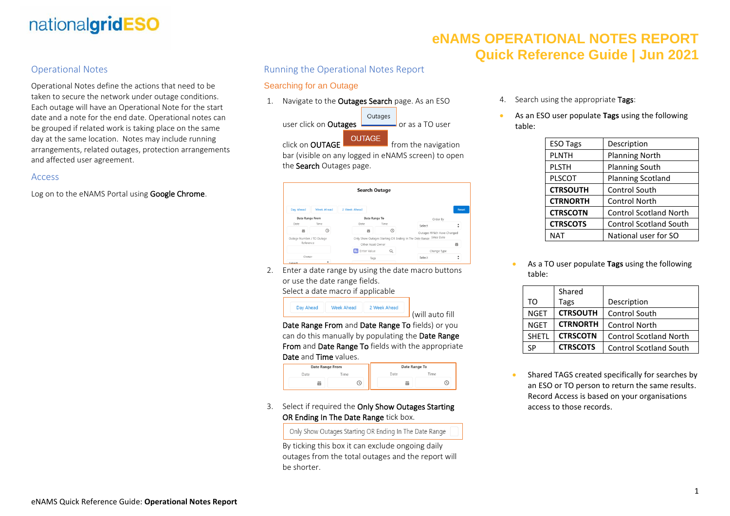# nationalgridESO

### Operational Notes

Operational Notes define the actions that need to be taken to secure the network under outage conditions. Each outage will have an Operational Note for the start date and a note for the end date. Operational notes can be grouped if related work is taking place on the same day at the same location. Notes may include running arrangements, related outages, protection arrangements and affected user agreement.

#### Access

Log on to the eNAMS Portal using Google Chrome.

### Running the Operational Notes Report

#### Searching for an Outage

1. Navigate to the **Outages Search** page. As an ESO



bar (visible on any logged in eNAMS screen) to open the Search Outages page.

|                           |                   |                   | <b>Search Outage</b> |                                                                   |                            |
|---------------------------|-------------------|-------------------|----------------------|-------------------------------------------------------------------|----------------------------|
| Day Ahead                 | <b>Week Ahead</b> | 2 Week Ahead      |                      |                                                                   | Reset                      |
| <b>Date Range From</b>    |                   |                   | Date Range To        |                                                                   | Order By                   |
| Date                      | Time              | Date              | Time                 | Select                                                            |                            |
| 曲                         | ➀                 | 繭                 |                      |                                                                   | Outages Which Have Changed |
| Outage Number / TO Outage |                   |                   |                      | Only Show Outages Starting OR Ending In The Date Range Since Date |                            |
| Reference                 |                   | Other Asset Owner |                      |                                                                   | 盖                          |
|                           |                   | Enter Value       | Q                    |                                                                   | Change Type                |
| Owner                     |                   | Tags              |                      | Select                                                            |                            |
| Select                    |                   |                   |                      | ---                                                               |                            |

2. Enter a date range by using the date macro buttons or use the date range fields. Select a date macro if applicable

Day Ahead **Week Ahead** 2 Week Ahead (will auto fill

Date Range From and Date Range To fields) or you can do this manually by populating the Date Range From and Date Range To fields with the appropriate Date and Time values.

| <b>Date Range From</b> |      | Date Range To |      |      |
|------------------------|------|---------------|------|------|
|                        | Date | Time          | Date | Time |
|                        | FП   |               | 盖    |      |

#### 3. Select if required the Only Show Outages Starting OR Ending In The Date Range tick box.

Only Show Outages Starting OR Ending In The Date Range

By ticking this box it can exclude ongoing daily outages from the total outages and the report will be shorter.

- **eNAMS OPERATIONAL NOTES REPORT Quick Reference Guide | Jun 2021**
	- 4. Search using the appropriate Tags:
	- As an ESO user populate **Tags** using the following table:

| <b>ESO Tags</b> | Description                   |  |
|-----------------|-------------------------------|--|
| <b>PLNTH</b>    | <b>Planning North</b>         |  |
| <b>PLSTH</b>    | <b>Planning South</b>         |  |
| <b>PLSCOT</b>   | <b>Planning Scotland</b>      |  |
| <b>CTRSOUTH</b> | <b>Control South</b>          |  |
| <b>CTRNORTH</b> | <b>Control North</b>          |  |
| <b>CTRSCOTN</b> | <b>Control Scotland North</b> |  |
| <b>CTRSCOTS</b> | <b>Control Scotland South</b> |  |
| <b>NAT</b>      | National user for SO          |  |
|                 |                               |  |

• As a TO user populate **Tags** using the following table:

|              | Shared          |                               |
|--------------|-----------------|-------------------------------|
| TΩ           | Tags            | Description                   |
| <b>NGET</b>  | <b>CTRSOUTH</b> | <b>Control South</b>          |
| <b>NGET</b>  | <b>CTRNORTH</b> | <b>Control North</b>          |
| <b>SHETI</b> | <b>CTRSCOTN</b> | <b>Control Scotland North</b> |
| SP           | <b>CTRSCOTS</b> | <b>Control Scotland South</b> |

Shared TAGS created specifically for searches by an ESO or TO person to return the same results. Record Access is based on your organisations access to those records.